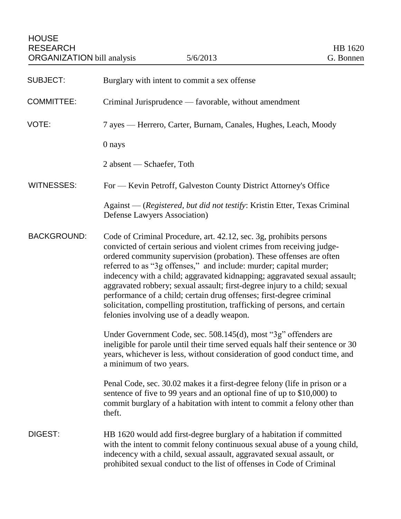| <b>SUBJECT:</b>    | Burglary with intent to commit a sex offense                                                                                                                                                                                                                                                                                                                                                                                                                                                                                                                                                                                                            |
|--------------------|---------------------------------------------------------------------------------------------------------------------------------------------------------------------------------------------------------------------------------------------------------------------------------------------------------------------------------------------------------------------------------------------------------------------------------------------------------------------------------------------------------------------------------------------------------------------------------------------------------------------------------------------------------|
| <b>COMMITTEE:</b>  | Criminal Jurisprudence — favorable, without amendment                                                                                                                                                                                                                                                                                                                                                                                                                                                                                                                                                                                                   |
| VOTE:              | 7 ayes — Herrero, Carter, Burnam, Canales, Hughes, Leach, Moody                                                                                                                                                                                                                                                                                                                                                                                                                                                                                                                                                                                         |
|                    | 0 nays                                                                                                                                                                                                                                                                                                                                                                                                                                                                                                                                                                                                                                                  |
|                    | 2 absent — Schaefer, Toth                                                                                                                                                                                                                                                                                                                                                                                                                                                                                                                                                                                                                               |
| <b>WITNESSES:</b>  | For — Kevin Petroff, Galveston County District Attorney's Office                                                                                                                                                                                                                                                                                                                                                                                                                                                                                                                                                                                        |
|                    | Against — (Registered, but did not testify: Kristin Etter, Texas Criminal<br>Defense Lawyers Association)                                                                                                                                                                                                                                                                                                                                                                                                                                                                                                                                               |
| <b>BACKGROUND:</b> | Code of Criminal Procedure, art. 42.12, sec. 3g, prohibits persons<br>convicted of certain serious and violent crimes from receiving judge-<br>ordered community supervision (probation). These offenses are often<br>referred to as "3g offenses," and include: murder; capital murder;<br>indecency with a child; aggravated kidnapping; aggravated sexual assault;<br>aggravated robbery; sexual assault; first-degree injury to a child; sexual<br>performance of a child; certain drug offenses; first-degree criminal<br>solicitation, compelling prostitution, trafficking of persons, and certain<br>felonies involving use of a deadly weapon. |
|                    | Under Government Code, sec. 508.145(d), most "3g" offenders are<br>ineligible for parole until their time served equals half their sentence or 30<br>years, whichever is less, without consideration of good conduct time, and<br>a minimum of two years.                                                                                                                                                                                                                                                                                                                                                                                               |
|                    | Penal Code, sec. 30.02 makes it a first-degree felony (life in prison or a<br>sentence of five to 99 years and an optional fine of up to \$10,000) to<br>commit burglary of a habitation with intent to commit a felony other than<br>theft.                                                                                                                                                                                                                                                                                                                                                                                                            |
| DIGEST:            | HB 1620 would add first-degree burglary of a habitation if committed<br>with the intent to commit felony continuous sexual abuse of a young child,<br>indecency with a child, sexual assault, aggravated sexual assault, or<br>prohibited sexual conduct to the list of offenses in Code of Criminal                                                                                                                                                                                                                                                                                                                                                    |